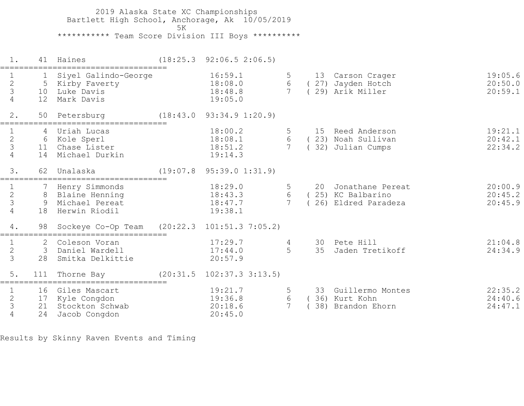2019 Alaska State XC Championships Bartlett High School, Anchorage, Ak 10/05/2019  $5K$ \*\*\*\*\*\*\*\*\*\*\* Team Score Division III Boys \*\*\*\*\*\*\*\*\*\*

| $1$ .                                                        |                                       | 41 Haines                                                                                          | $(18:25.3 \t 92:06.5 \t 2:06.5)$                                                    |                  |          |                                                              |                               |
|--------------------------------------------------------------|---------------------------------------|----------------------------------------------------------------------------------------------------|-------------------------------------------------------------------------------------|------------------|----------|--------------------------------------------------------------|-------------------------------|
| $\frac{2}{3}$<br>$\overline{4}$                              | $\mathbf{1}$<br>10<br>12 <sup>°</sup> | Siyel Galindo-George<br>5 Kirby Faverty<br>Luke Davis<br>Mark Davis                                | 16:59.1<br>18:08.0<br>18:48.8<br>19:05.0                                            | 5<br>6           |          | 13 Carson Crager<br>(27) Jayden Hotch<br>(29) Arik Miller    | 19:05.6<br>20:50.0<br>20:59.1 |
| 2.                                                           |                                       | 50 Petersburg                                                                                      | (18:43.0 93:34.9 1:20.9)                                                            |                  |          |                                                              |                               |
| $\begin{array}{c} 1 \\ 2 \\ 3 \end{array}$<br>$\overline{4}$ | 14                                    | Uriah Lucas<br>6 Kole Sperl<br>11 Chase Lister<br>Michael Durkin                                   | 18:00.2<br>18:08.1<br>18:51.2<br>19:14.3                                            | 6                |          | 15 Reed Anderson<br>(23) Noah Sullivan<br>32) Julian Cumps   | 19:21.1<br>20:42.1<br>22:34.2 |
| 3.                                                           | 62                                    | Unalaska                                                                                           | (19:07.8 95:39.0 1:31.9)                                                            |                  |          |                                                              |                               |
| $\frac{2}{3}$<br>$\overline{4}$<br>4.                        | 18                                    | 7 Henry Simmonds<br>8 Blaine Henning<br>9 Michael Pereat<br>Herwin Riodil<br>98 Sockeye Co-Op Team | 18:29.0<br>18:43.3<br>18:47.7<br>19:38.1<br>$(20:22.3 \quad 101:51.3 \quad 7:05.2)$ | 6                | 20       | Jonathane Pereat<br>(25) KC Balbarino<br>26) Eldred Paradeza | 20:00.9<br>20:45.2<br>20:45.9 |
| $\mathbf{1}$<br>$\frac{2}{3}$                                | 3<br>28                               | 2 Coleson Voran<br>Daniel Wardell<br>Smitka Delkittie                                              | 17:29.7<br>17:44.0<br>20:57.9                                                       |                  | 30<br>35 | Pete Hill<br>Jaden Tretikoff                                 | 21:04.8<br>24:34.9            |
| $5$ .                                                        | 111                                   | Thorne Bay                                                                                         | $(20:31.5 \t102:37.3 \t3:13.5)$                                                     |                  |          |                                                              |                               |
| $rac{2}{3}$<br>$\overline{4}$                                | 21<br>24                              | 16 Giles Mascart<br>17 Kyle Congdon<br>Stockton Schwab<br>Jacob Congdon                            | 19:21.7<br>19:36.8<br>20:18.6<br>20:45.0                                            | 6<br>$7^{\circ}$ |          | 33 Guillermo Montes<br>(36) Kurt Kohn<br>38) Brandon Ehorn   | 22:35.2<br>24:40.6<br>24:47.1 |

Results by Skinny Raven Events and Timing